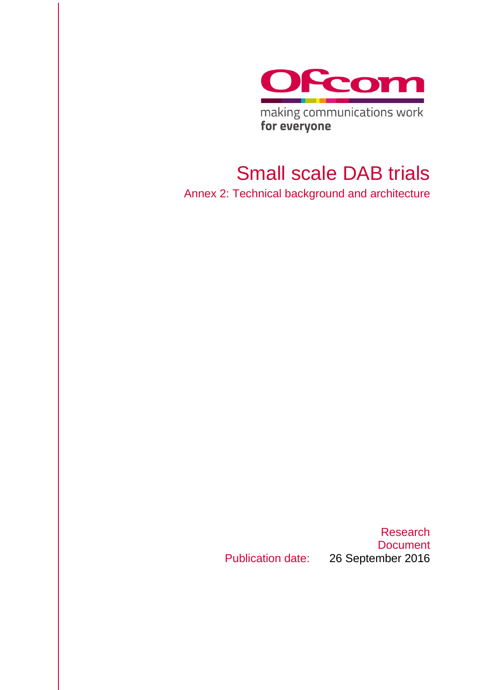

making communications work for everyone

## Small scale DAB trials

Annex 2: Technical background and architecture

Publication date: 26 September 2016

Research **Document**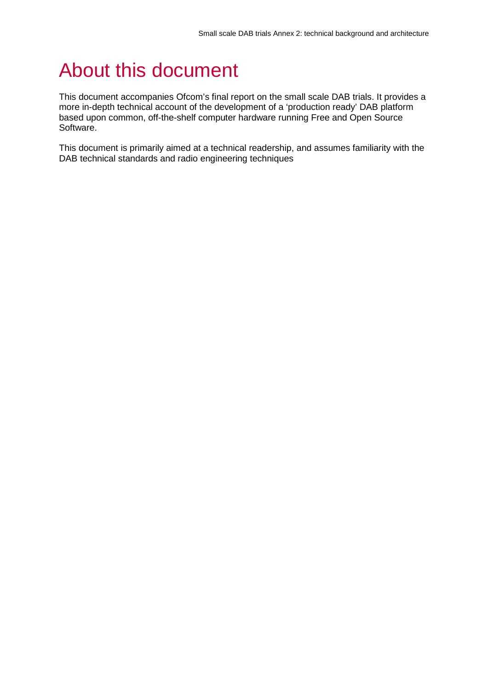# About this document

This document accompanies Ofcom's final report on the small scale DAB trials. It provides a more in-depth technical account of the development of a 'production ready' DAB platform based upon common, off-the-shelf computer hardware running Free and Open Source Software.

This document is primarily aimed at a technical readership, and assumes familiarity with the DAB technical standards and radio engineering techniques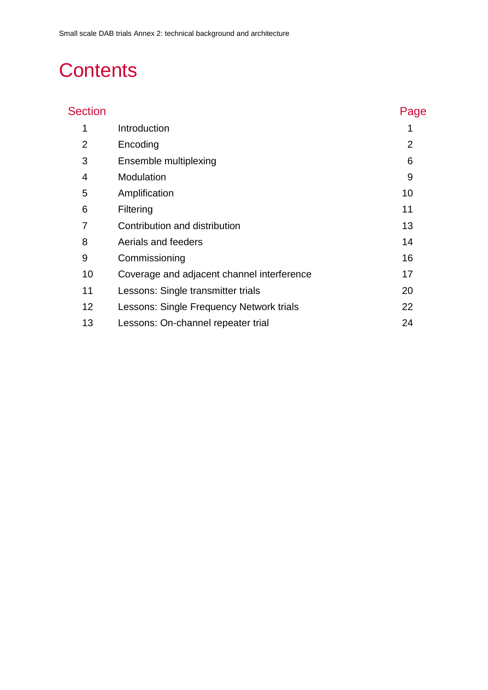# **Contents**

| <b>Section</b> |                                            | Page           |
|----------------|--------------------------------------------|----------------|
| 1              | Introduction                               |                |
| 2              | Encoding                                   | $\overline{2}$ |
| 3              | Ensemble multiplexing                      | 6              |
| 4              | Modulation                                 | 9              |
| 5              | Amplification                              | 10             |
| 6              | Filtering                                  | 11             |
| 7              | Contribution and distribution              | 13             |
| 8              | Aerials and feeders                        | 14             |
| 9              | Commissioning                              | 16             |
| 10             | Coverage and adjacent channel interference | 17             |
| 11             | Lessons: Single transmitter trials         | 20             |
| 12             | Lessons: Single Frequency Network trials   | 22             |
| 13             | Lessons: On-channel repeater trial         | 24             |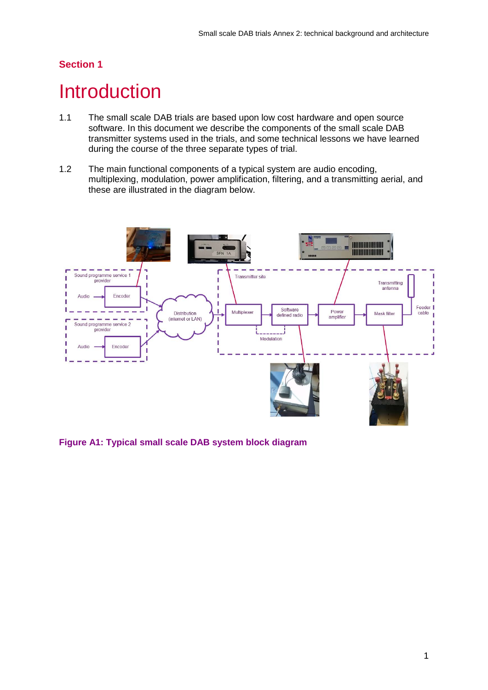## <span id="page-3-0"></span>**Introduction**

- 1.1 The small scale DAB trials are based upon low cost hardware and open source software. In this document we describe the components of the small scale DAB transmitter systems used in the trials, and some technical lessons we have learned during the course of the three separate types of trial.
- 1.2 The main functional components of a typical system are audio encoding, multiplexing, modulation, power amplification, filtering, and a transmitting aerial, and these are illustrated in the diagram below.



**Figure A1: Typical small scale DAB system block diagram**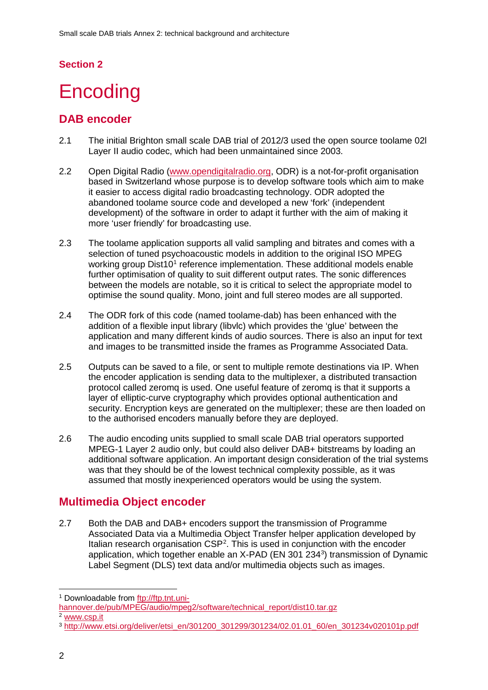# <span id="page-4-0"></span>**Encoding**

## **DAB encoder**

- 2.1 The initial Brighton small scale DAB trial of 2012/3 used the open source toolame 02l Layer II audio codec, which had been unmaintained since 2003.
- 2.2 Open Digital Radio [\(www.opendigitalradio.org,](http://www.opendigitalradio.org/) ODR) is a not-for-profit organisation based in Switzerland whose purpose is to develop software tools which aim to make it easier to access digital radio broadcasting technology. ODR adopted the abandoned toolame source code and developed a new 'fork' (independent development) of the software in order to adapt it further with the aim of making it more 'user friendly' for broadcasting use.
- 2.3 The toolame application supports all valid sampling and bitrates and comes with a selection of tuned psychoacoustic models in addition to the original ISO MPEG working group Dist[1](#page-4-1)0<sup>1</sup> reference implementation. These additional models enable further optimisation of quality to suit different output rates. The sonic differences between the models are notable, so it is critical to select the appropriate model to optimise the sound quality. Mono, joint and full stereo modes are all supported.
- 2.4 The ODR fork of this code (named toolame-dab) has been enhanced with the addition of a flexible input library (libvlc) which provides the 'glue' between the application and many different kinds of audio sources. There is also an input for text and images to be transmitted inside the frames as Programme Associated Data.
- 2.5 Outputs can be saved to a file, or sent to multiple remote destinations via IP. When the encoder application is sending data to the multiplexer, a distributed transaction protocol called zeromq is used. One useful feature of zeromq is that it supports a layer of elliptic-curve cryptography which provides optional authentication and security. Encryption keys are generated on the multiplexer; these are then loaded on to the authorised encoders manually before they are deployed.
- 2.6 The audio encoding units supplied to small scale DAB trial operators supported MPEG-1 Layer 2 audio only, but could also deliver DAB+ bitstreams by loading an additional software application. An important design consideration of the trial systems was that they should be of the lowest technical complexity possible, as it was assumed that mostly inexperienced operators would be using the system.

## **Multimedia Object encoder**

2.7 Both the DAB and DAB+ encoders support the transmission of Programme Associated Data via a Multimedia Object Transfer helper application developed by Italian research organisation CSP<sup>[2](#page-4-2)</sup>. This is used in conjunction with the encoder application, which together enable an X-PAD (EN [3](#page-4-3)01 234<sup>3</sup>) transmission of Dynamic Label Segment (DLS) text data and/or multimedia objects such as images.

<span id="page-4-1"></span> <sup>1</sup> Downloadable from [ftp://ftp.tnt.uni-](ftp://ftp.tnt.uni-hannover.de/pub/MPEG/audio/mpeg2/software/technical_report/dist10.tar.gz)

<span id="page-4-2"></span>[hannover.de/pub/MPEG/audio/mpeg2/software/technical\\_report/dist10.tar.gz](ftp://ftp.tnt.uni-hannover.de/pub/MPEG/audio/mpeg2/software/technical_report/dist10.tar.gz) <sup>2</sup> [www.csp.it](http://www.csp.it/)

<span id="page-4-3"></span><sup>3</sup> [http://www.etsi.org/deliver/etsi\\_en/301200\\_301299/301234/02.01.01\\_60/en\\_301234v020101p.pdf](http://www.etsi.org/deliver/etsi_en/301200_301299/301234/02.01.01_60/en_301234v020101p.pdf)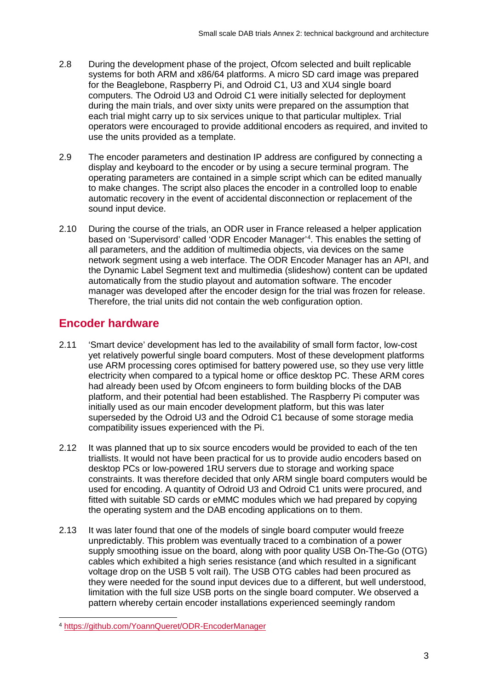- 2.8 During the development phase of the project, Ofcom selected and built replicable systems for both ARM and x86/64 platforms. A micro SD card image was prepared for the Beaglebone, Raspberry Pi, and Odroid C1, U3 and XU4 single board computers. The Odroid U3 and Odroid C1 were initially selected for deployment during the main trials, and over sixty units were prepared on the assumption that each trial might carry up to six services unique to that particular multiplex. Trial operators were encouraged to provide additional encoders as required, and invited to use the units provided as a template.
- 2.9 The encoder parameters and destination IP address are configured by connecting a display and keyboard to the encoder or by using a secure terminal program. The operating parameters are contained in a simple script which can be edited manually to make changes. The script also places the encoder in a controlled loop to enable automatic recovery in the event of accidental disconnection or replacement of the sound input device.
- 2.10 During the course of the trials, an ODR user in France released a helper application based on 'Supervisord' called 'ODR Encoder Manager'[4](#page-5-0) . This enables the setting of all parameters, and the addition of multimedia objects, via devices on the same network segment using a web interface. The ODR Encoder Manager has an API, and the Dynamic Label Segment text and multimedia (slideshow) content can be updated automatically from the studio playout and automation software. The encoder manager was developed after the encoder design for the trial was frozen for release. Therefore, the trial units did not contain the web configuration option.

## **Encoder hardware**

- 2.11 'Smart device' development has led to the availability of small form factor, low-cost yet relatively powerful single board computers. Most of these development platforms use ARM processing cores optimised for battery powered use, so they use very little electricity when compared to a typical home or office desktop PC. These ARM cores had already been used by Ofcom engineers to form building blocks of the DAB platform, and their potential had been established. The Raspberry Pi computer was initially used as our main encoder development platform, but this was later superseded by the Odroid U3 and the Odroid C1 because of some storage media compatibility issues experienced with the Pi.
- 2.12 It was planned that up to six source encoders would be provided to each of the ten triallists. It would not have been practical for us to provide audio encoders based on desktop PCs or low-powered 1RU servers due to storage and working space constraints. It was therefore decided that only ARM single board computers would be used for encoding. A quantity of Odroid U3 and Odroid C1 units were procured, and fitted with suitable SD cards or eMMC modules which we had prepared by copying the operating system and the DAB encoding applications on to them.
- 2.13 It was later found that one of the models of single board computer would freeze unpredictably. This problem was eventually traced to a combination of a power supply smoothing issue on the board, along with poor quality USB On-The-Go (OTG) cables which exhibited a high series resistance (and which resulted in a significant voltage drop on the USB 5 volt rail). The USB OTG cables had been procured as they were needed for the sound input devices due to a different, but well understood, limitation with the full size USB ports on the single board computer. We observed a pattern whereby certain encoder installations experienced seemingly random

<span id="page-5-0"></span> <sup>4</sup> <https://github.com/YoannQueret/ODR-EncoderManager>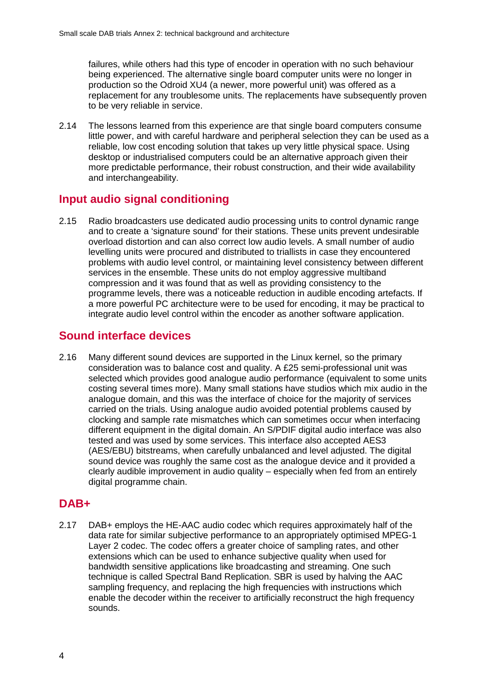failures, while others had this type of encoder in operation with no such behaviour being experienced. The alternative single board computer units were no longer in production so the Odroid XU4 (a newer, more powerful unit) was offered as a replacement for any troublesome units. The replacements have subsequently proven to be very reliable in service.

2.14 The lessons learned from this experience are that single board computers consume little power, and with careful hardware and peripheral selection they can be used as a reliable, low cost encoding solution that takes up very little physical space. Using desktop or industrialised computers could be an alternative approach given their more predictable performance, their robust construction, and their wide availability and interchangeability.

## **Input audio signal conditioning**

2.15 Radio broadcasters use dedicated audio processing units to control dynamic range and to create a 'signature sound' for their stations. These units prevent undesirable overload distortion and can also correct low audio levels. A small number of audio levelling units were procured and distributed to triallists in case they encountered problems with audio level control, or maintaining level consistency between different services in the ensemble. These units do not employ aggressive multiband compression and it was found that as well as providing consistency to the programme levels, there was a noticeable reduction in audible encoding artefacts. If a more powerful PC architecture were to be used for encoding, it may be practical to integrate audio level control within the encoder as another software application.

## **Sound interface devices**

2.16 Many different sound devices are supported in the Linux kernel, so the primary consideration was to balance cost and quality. A £25 semi-professional unit was selected which provides good analogue audio performance (equivalent to some units costing several times more). Many small stations have studios which mix audio in the analogue domain, and this was the interface of choice for the majority of services carried on the trials. Using analogue audio avoided potential problems caused by clocking and sample rate mismatches which can sometimes occur when interfacing different equipment in the digital domain. An S/PDIF digital audio interface was also tested and was used by some services. This interface also accepted AES3 (AES/EBU) bitstreams, when carefully unbalanced and level adjusted. The digital sound device was roughly the same cost as the analogue device and it provided a clearly audible improvement in audio quality – especially when fed from an entirely digital programme chain.

## **DAB+**

2.17 DAB+ employs the HE-AAC audio codec which requires approximately half of the data rate for similar subjective performance to an appropriately optimised MPEG-1 Layer 2 codec. The codec offers a greater choice of sampling rates, and other extensions which can be used to enhance subjective quality when used for bandwidth sensitive applications like broadcasting and streaming. One such technique is called Spectral Band Replication. SBR is used by halving the AAC sampling frequency, and replacing the high frequencies with instructions which enable the decoder within the receiver to artificially reconstruct the high frequency sounds.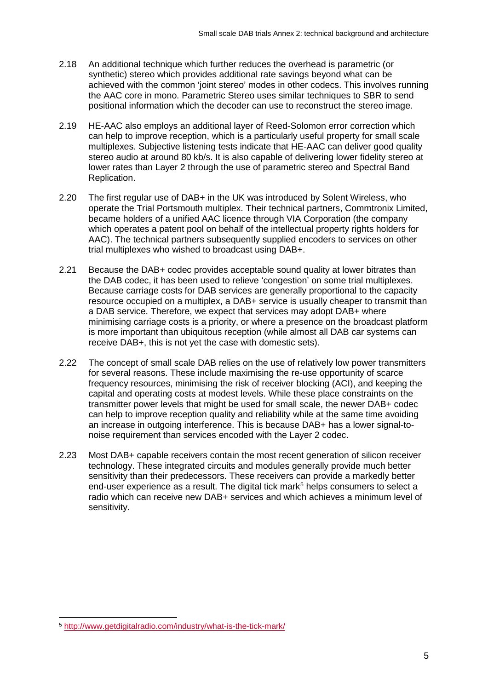- 2.18 An additional technique which further reduces the overhead is parametric (or synthetic) stereo which provides additional rate savings beyond what can be achieved with the common 'joint stereo' modes in other codecs. This involves running the AAC core in mono. Parametric Stereo uses similar techniques to SBR to send positional information which the decoder can use to reconstruct the stereo image.
- 2.19 HE-AAC also employs an additional layer of Reed-Solomon error correction which can help to improve reception, which is a particularly useful property for small scale multiplexes. Subjective listening tests indicate that HE-AAC can deliver good quality stereo audio at around 80 kb/s. It is also capable of delivering lower fidelity stereo at lower rates than Layer 2 through the use of parametric stereo and Spectral Band Replication.
- 2.20 The first regular use of DAB+ in the UK was introduced by Solent Wireless, who operate the Trial Portsmouth multiplex. Their technical partners, Commtronix Limited, became holders of a unified AAC licence through VIA Corporation (the company which operates a patent pool on behalf of the intellectual property rights holders for AAC). The technical partners subsequently supplied encoders to services on other trial multiplexes who wished to broadcast using DAB+.
- 2.21 Because the DAB+ codec provides acceptable sound quality at lower bitrates than the DAB codec, it has been used to relieve 'congestion' on some trial multiplexes. Because carriage costs for DAB services are generally proportional to the capacity resource occupied on a multiplex, a DAB+ service is usually cheaper to transmit than a DAB service. Therefore, we expect that services may adopt DAB+ where minimising carriage costs is a priority, or where a presence on the broadcast platform is more important than ubiquitous reception (while almost all DAB car systems can receive DAB+, this is not yet the case with domestic sets).
- 2.22 The concept of small scale DAB relies on the use of relatively low power transmitters for several reasons. These include maximising the re-use opportunity of scarce frequency resources, minimising the risk of receiver blocking (ACI), and keeping the capital and operating costs at modest levels. While these place constraints on the transmitter power levels that might be used for small scale, the newer DAB+ codec can help to improve reception quality and reliability while at the same time avoiding an increase in outgoing interference. This is because DAB+ has a lower signal-tonoise requirement than services encoded with the Layer 2 codec.
- 2.23 Most DAB+ capable receivers contain the most recent generation of silicon receiver technology. These integrated circuits and modules generally provide much better sensitivity than their predecessors. These receivers can provide a markedly better end-user experience as a result. The digital tick mark<sup>[5](#page-7-0)</sup> helps consumers to select a radio which can receive new DAB+ services and which achieves a minimum level of sensitivity.

<span id="page-7-0"></span> <sup>5</sup> <http://www.getdigitalradio.com/industry/what-is-the-tick-mark/>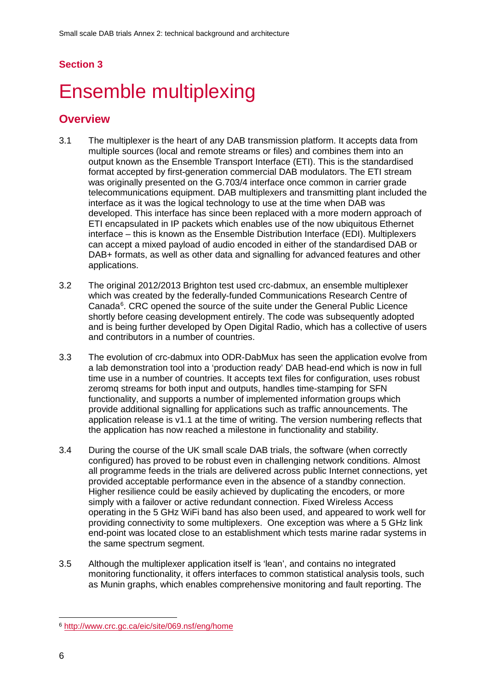# <span id="page-8-0"></span>Ensemble multiplexing

- 3.1 The multiplexer is the heart of any DAB transmission platform. It accepts data from multiple sources (local and remote streams or files) and combines them into an output known as the Ensemble Transport Interface (ETI). This is the standardised format accepted by first-generation commercial DAB modulators. The ETI stream was originally presented on the G.703/4 interface once common in carrier grade telecommunications equipment. DAB multiplexers and transmitting plant included the interface as it was the logical technology to use at the time when DAB was developed. This interface has since been replaced with a more modern approach of ETI encapsulated in IP packets which enables use of the now ubiquitous Ethernet interface – this is known as the Ensemble Distribution Interface (EDI). Multiplexers can accept a mixed payload of audio encoded in either of the standardised DAB or DAB+ formats, as well as other data and signalling for advanced features and other applications.
- 3.2 The original 2012/2013 Brighton test used crc-dabmux, an ensemble multiplexer which was created by the federally-funded Communications Research Centre of Canada<sup>[6](#page-8-1)</sup>. CRC opened the source of the suite under the General Public Licence shortly before ceasing development entirely. The code was subsequently adopted and is being further developed by Open Digital Radio, which has a collective of users and contributors in a number of countries.
- 3.3 The evolution of crc-dabmux into ODR-DabMux has seen the application evolve from a lab demonstration tool into a 'production ready' DAB head-end which is now in full time use in a number of countries. It accepts text files for configuration, uses robust zeromq streams for both input and outputs, handles time-stamping for SFN functionality, and supports a number of implemented information groups which provide additional signalling for applications such as traffic announcements. The application release is v1.1 at the time of writing. The version numbering reflects that the application has now reached a milestone in functionality and stability.
- 3.4 During the course of the UK small scale DAB trials, the software (when correctly configured) has proved to be robust even in challenging network conditions. Almost all programme feeds in the trials are delivered across public Internet connections, yet provided acceptable performance even in the absence of a standby connection. Higher resilience could be easily achieved by duplicating the encoders, or more simply with a failover or active redundant connection. Fixed Wireless Access operating in the 5 GHz WiFi band has also been used, and appeared to work well for providing connectivity to some multiplexers. One exception was where a 5 GHz link end-point was located close to an establishment which tests marine radar systems in the same spectrum segment.
- 3.5 Although the multiplexer application itself is 'lean', and contains no integrated monitoring functionality, it offers interfaces to common statistical analysis tools, such as Munin graphs, which enables comprehensive monitoring and fault reporting. The

<span id="page-8-1"></span> <sup>6</sup> <http://www.crc.gc.ca/eic/site/069.nsf/eng/home>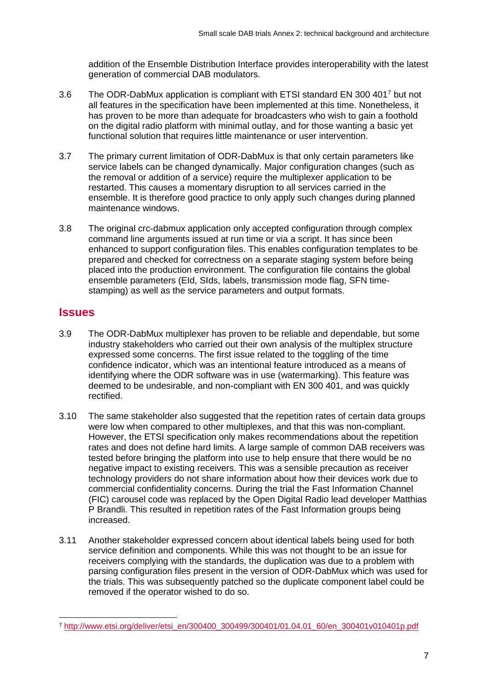addition of the Ensemble Distribution Interface provides interoperability with the latest generation of commercial DAB modulators.

- 3.6 The ODR-DabMux application is compliant with ETSI standard EN 300 401[7](#page-9-0) but not all features in the specification have been implemented at this time. Nonetheless, it has proven to be more than adequate for broadcasters who wish to gain a foothold on the digital radio platform with minimal outlay, and for those wanting a basic yet functional solution that requires little maintenance or user intervention.
- 3.7 The primary current limitation of ODR-DabMux is that only certain parameters like service labels can be changed dynamically. Major configuration changes (such as the removal or addition of a service) require the multiplexer application to be restarted. This causes a momentary disruption to all services carried in the ensemble. It is therefore good practice to only apply such changes during planned maintenance windows.
- 3.8 The original crc-dabmux application only accepted configuration through complex command line arguments issued at run time or via a script. It has since been enhanced to support configuration files. This enables configuration templates to be prepared and checked for correctness on a separate staging system before being placed into the production environment. The configuration file contains the global ensemble parameters (EId, SIds, labels, transmission mode flag, SFN timestamping) as well as the service parameters and output formats.

### **Issues**

- 3.9 The ODR-DabMux multiplexer has proven to be reliable and dependable, but some industry stakeholders who carried out their own analysis of the multiplex structure expressed some concerns. The first issue related to the toggling of the time confidence indicator, which was an intentional feature introduced as a means of identifying where the ODR software was in use (watermarking). This feature was deemed to be undesirable, and non-compliant with EN 300 401, and was quickly rectified.
- 3.10 The same stakeholder also suggested that the repetition rates of certain data groups were low when compared to other multiplexes, and that this was non-compliant. However, the ETSI specification only makes recommendations about the repetition rates and does not define hard limits. A large sample of common DAB receivers was tested before bringing the platform into use to help ensure that there would be no negative impact to existing receivers. This was a sensible precaution as receiver technology providers do not share information about how their devices work due to commercial confidentiality concerns. During the trial the Fast Information Channel (FIC) carousel code was replaced by the Open Digital Radio lead developer Matthias P Brandli. This resulted in repetition rates of the Fast Information groups being increased.
- 3.11 Another stakeholder expressed concern about identical labels being used for both service definition and components. While this was not thought to be an issue for receivers complying with the standards, the duplication was due to a problem with parsing configuration files present in the version of ODR-DabMux which was used for the trials. This was subsequently patched so the duplicate component label could be removed if the operator wished to do so.

<span id="page-9-0"></span> <sup>7</sup> [http://www.etsi.org/deliver/etsi\\_en/300400\\_300499/300401/01.04.01\\_60/en\\_300401v010401p.pdf](http://www.etsi.org/deliver/etsi_en/300400_300499/300401/01.04.01_60/en_300401v010401p.pdf)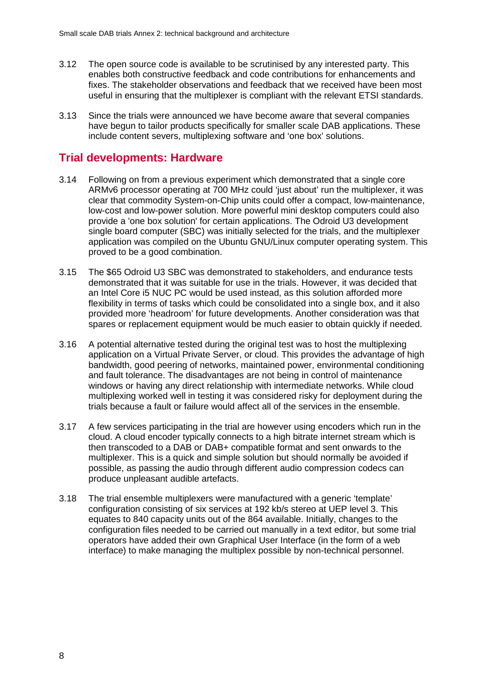- 3.12 The open source code is available to be scrutinised by any interested party. This enables both constructive feedback and code contributions for enhancements and fixes. The stakeholder observations and feedback that we received have been most useful in ensuring that the multiplexer is compliant with the relevant ETSI standards.
- 3.13 Since the trials were announced we have become aware that several companies have begun to tailor products specifically for smaller scale DAB applications. These include content severs, multiplexing software and 'one box' solutions.

## **Trial developments: Hardware**

- 3.14 Following on from a previous experiment which demonstrated that a single core ARMv6 processor operating at 700 MHz could 'just about' run the multiplexer, it was clear that commodity System-on-Chip units could offer a compact, low-maintenance, low-cost and low-power solution. More powerful mini desktop computers could also provide a 'one box solution' for certain applications. The Odroid U3 development single board computer (SBC) was initially selected for the trials, and the multiplexer application was compiled on the Ubuntu GNU/Linux computer operating system. This proved to be a good combination.
- 3.15 The \$65 Odroid U3 SBC was demonstrated to stakeholders, and endurance tests demonstrated that it was suitable for use in the trials. However, it was decided that an Intel Core i5 NUC PC would be used instead, as this solution afforded more flexibility in terms of tasks which could be consolidated into a single box, and it also provided more 'headroom' for future developments. Another consideration was that spares or replacement equipment would be much easier to obtain quickly if needed.
- 3.16 A potential alternative tested during the original test was to host the multiplexing application on a Virtual Private Server, or cloud. This provides the advantage of high bandwidth, good peering of networks, maintained power, environmental conditioning and fault tolerance. The disadvantages are not being in control of maintenance windows or having any direct relationship with intermediate networks. While cloud multiplexing worked well in testing it was considered risky for deployment during the trials because a fault or failure would affect all of the services in the ensemble.
- 3.17 A few services participating in the trial are however using encoders which run in the cloud. A cloud encoder typically connects to a high bitrate internet stream which is then transcoded to a DAB or DAB+ compatible format and sent onwards to the multiplexer. This is a quick and simple solution but should normally be avoided if possible, as passing the audio through different audio compression codecs can produce unpleasant audible artefacts.
- 3.18 The trial ensemble multiplexers were manufactured with a generic 'template' configuration consisting of six services at 192 kb/s stereo at UEP level 3. This equates to 840 capacity units out of the 864 available. Initially, changes to the configuration files needed to be carried out manually in a text editor, but some trial operators have added their own Graphical User Interface (in the form of a web interface) to make managing the multiplex possible by non-technical personnel.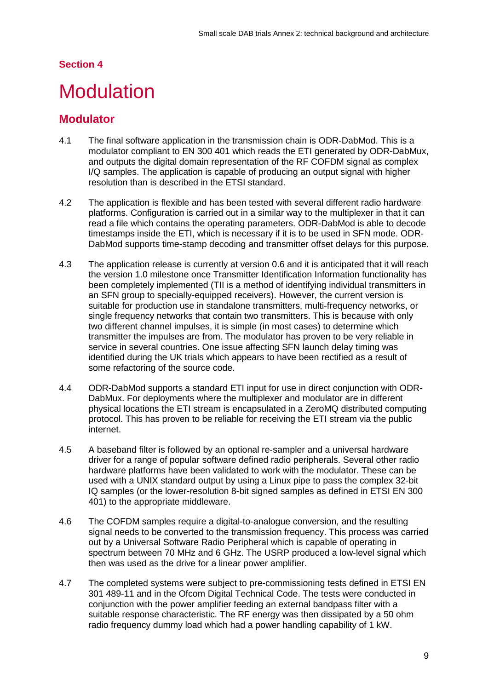## <span id="page-11-0"></span>**Modulation**

## **Modulator**

- 4.1 The final software application in the transmission chain is ODR-DabMod. This is a modulator compliant to EN 300 401 which reads the ETI generated by ODR-DabMux, and outputs the digital domain representation of the RF COFDM signal as complex I/Q samples. The application is capable of producing an output signal with higher resolution than is described in the ETSI standard.
- 4.2 The application is flexible and has been tested with several different radio hardware platforms. Configuration is carried out in a similar way to the multiplexer in that it can read a file which contains the operating parameters. ODR-DabMod is able to decode timestamps inside the ETI, which is necessary if it is to be used in SFN mode. ODR-DabMod supports time-stamp decoding and transmitter offset delays for this purpose.
- 4.3 The application release is currently at version 0.6 and it is anticipated that it will reach the version 1.0 milestone once Transmitter Identification Information functionality has been completely implemented (TII is a method of identifying individual transmitters in an SFN group to specially-equipped receivers). However, the current version is suitable for production use in standalone transmitters, multi-frequency networks, or single frequency networks that contain two transmitters. This is because with only two different channel impulses, it is simple (in most cases) to determine which transmitter the impulses are from. The modulator has proven to be very reliable in service in several countries. One issue affecting SFN launch delay timing was identified during the UK trials which appears to have been rectified as a result of some refactoring of the source code.
- 4.4 ODR-DabMod supports a standard ETI input for use in direct conjunction with ODR-DabMux. For deployments where the multiplexer and modulator are in different physical locations the ETI stream is encapsulated in a ZeroMQ distributed computing protocol. This has proven to be reliable for receiving the ETI stream via the public internet.
- 4.5 A baseband filter is followed by an optional re-sampler and a universal hardware driver for a range of popular software defined radio peripherals. Several other radio hardware platforms have been validated to work with the modulator. These can be used with a UNIX standard output by using a Linux pipe to pass the complex 32-bit IQ samples (or the lower-resolution 8-bit signed samples as defined in ETSI EN 300 401) to the appropriate middleware.
- 4.6 The COFDM samples require a digital-to-analogue conversion, and the resulting signal needs to be converted to the transmission frequency. This process was carried out by a Universal Software Radio Peripheral which is capable of operating in spectrum between 70 MHz and 6 GHz. The USRP produced a low-level signal which then was used as the drive for a linear power amplifier.
- 4.7 The completed systems were subject to pre-commissioning tests defined in ETSI EN 301 489-11 and in the Ofcom Digital Technical Code. The tests were conducted in conjunction with the power amplifier feeding an external bandpass filter with a suitable response characteristic. The RF energy was then dissipated by a 50 ohm radio frequency dummy load which had a power handling capability of 1 kW.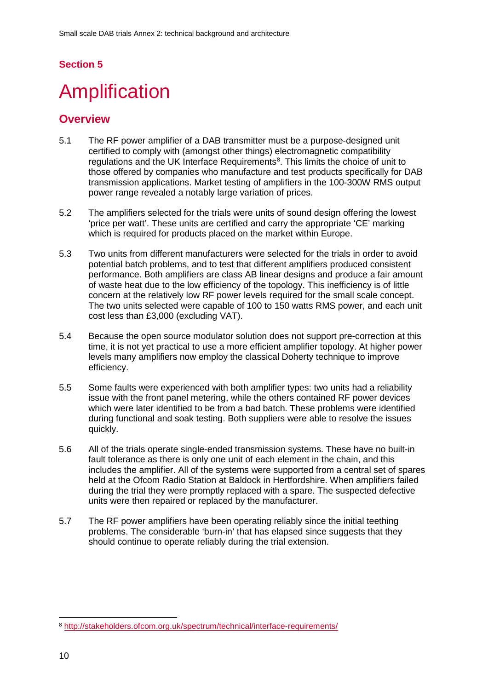# <span id="page-12-0"></span>**Amplification**

- 5.1 The RF power amplifier of a DAB transmitter must be a purpose-designed unit certified to comply with (amongst other things) electromagnetic compatibility regulations and the UK Interface Requirements<sup>[8](#page-12-1)</sup>. This limits the choice of unit to those offered by companies who manufacture and test products specifically for DAB transmission applications. Market testing of amplifiers in the 100-300W RMS output power range revealed a notably large variation of prices.
- 5.2 The amplifiers selected for the trials were units of sound design offering the lowest 'price per watt'. These units are certified and carry the appropriate 'CE' marking which is required for products placed on the market within Europe.
- 5.3 Two units from different manufacturers were selected for the trials in order to avoid potential batch problems, and to test that different amplifiers produced consistent performance. Both amplifiers are class AB linear designs and produce a fair amount of waste heat due to the low efficiency of the topology. This inefficiency is of little concern at the relatively low RF power levels required for the small scale concept. The two units selected were capable of 100 to 150 watts RMS power, and each unit cost less than £3,000 (excluding VAT).
- 5.4 Because the open source modulator solution does not support pre-correction at this time, it is not yet practical to use a more efficient amplifier topology. At higher power levels many amplifiers now employ the classical Doherty technique to improve efficiency.
- 5.5 Some faults were experienced with both amplifier types: two units had a reliability issue with the front panel metering, while the others contained RF power devices which were later identified to be from a bad batch. These problems were identified during functional and soak testing. Both suppliers were able to resolve the issues quickly.
- 5.6 All of the trials operate single-ended transmission systems. These have no built-in fault tolerance as there is only one unit of each element in the chain, and this includes the amplifier. All of the systems were supported from a central set of spares held at the Ofcom Radio Station at Baldock in Hertfordshire. When amplifiers failed during the trial they were promptly replaced with a spare. The suspected defective units were then repaired or replaced by the manufacturer.
- 5.7 The RF power amplifiers have been operating reliably since the initial teething problems. The considerable 'burn-in' that has elapsed since suggests that they should continue to operate reliably during the trial extension.

<span id="page-12-1"></span> <sup>8</sup> <http://stakeholders.ofcom.org.uk/spectrum/technical/interface-requirements/>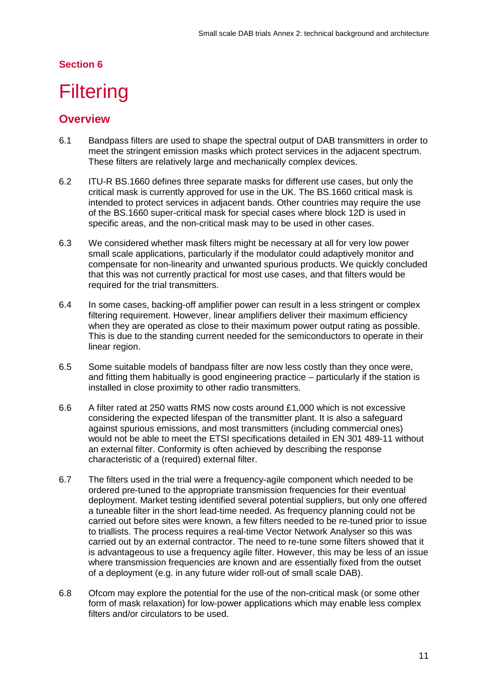# <span id="page-13-0"></span>**Filtering**

- 6.1 Bandpass filters are used to shape the spectral output of DAB transmitters in order to meet the stringent emission masks which protect services in the adjacent spectrum. These filters are relatively large and mechanically complex devices.
- 6.2 ITU-R BS.1660 defines three separate masks for different use cases, but only the critical mask is currently approved for use in the UK. The BS.1660 critical mask is intended to protect services in adjacent bands. Other countries may require the use of the BS.1660 super-critical mask for special cases where block 12D is used in specific areas, and the non-critical mask may to be used in other cases.
- 6.3 We considered whether mask filters might be necessary at all for very low power small scale applications, particularly if the modulator could adaptively monitor and compensate for non-linearity and unwanted spurious products. We quickly concluded that this was not currently practical for most use cases, and that filters would be required for the trial transmitters.
- 6.4 In some cases, backing-off amplifier power can result in a less stringent or complex filtering requirement. However, linear amplifiers deliver their maximum efficiency when they are operated as close to their maximum power output rating as possible. This is due to the standing current needed for the semiconductors to operate in their linear region.
- 6.5 Some suitable models of bandpass filter are now less costly than they once were, and fitting them habitually is good engineering practice – particularly if the station is installed in close proximity to other radio transmitters.
- 6.6 A filter rated at 250 watts RMS now costs around £1,000 which is not excessive considering the expected lifespan of the transmitter plant. It is also a safeguard against spurious emissions, and most transmitters (including commercial ones) would not be able to meet the ETSI specifications detailed in EN 301 489-11 without an external filter. Conformity is often achieved by describing the response characteristic of a (required) external filter.
- 6.7 The filters used in the trial were a frequency-agile component which needed to be ordered pre-tuned to the appropriate transmission frequencies for their eventual deployment. Market testing identified several potential suppliers, but only one offered a tuneable filter in the short lead-time needed. As frequency planning could not be carried out before sites were known, a few filters needed to be re-tuned prior to issue to triallists. The process requires a real-time Vector Network Analyser so this was carried out by an external contractor. The need to re-tune some filters showed that it is advantageous to use a frequency agile filter. However, this may be less of an issue where transmission frequencies are known and are essentially fixed from the outset of a deployment (e.g. in any future wider roll-out of small scale DAB).
- 6.8 Ofcom may explore the potential for the use of the non-critical mask (or some other form of mask relaxation) for low-power applications which may enable less complex filters and/or circulators to be used.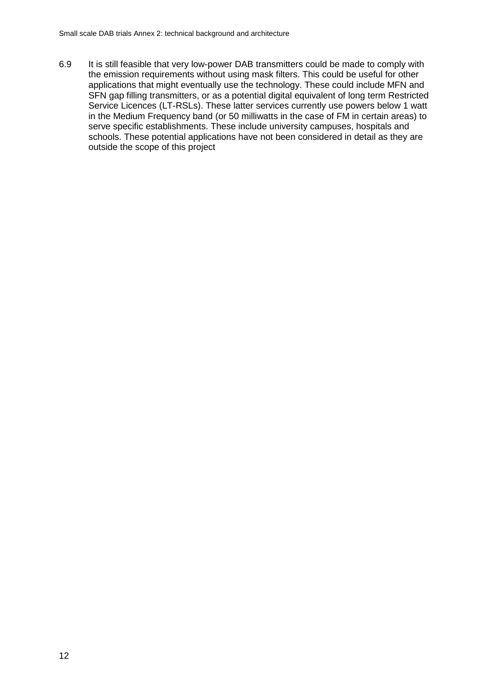6.9 It is still feasible that very low-power DAB transmitters could be made to comply with the emission requirements without using mask filters. This could be useful for other applications that might eventually use the technology. These could include MFN and SFN gap filling transmitters, or as a potential digital equivalent of long term Restricted Service Licences (LT-RSLs). These latter services currently use powers below 1 watt in the Medium Frequency band (or 50 milliwatts in the case of FM in certain areas) to serve specific establishments. These include university campuses, hospitals and schools. These potential applications have not been considered in detail as they are outside the scope of this project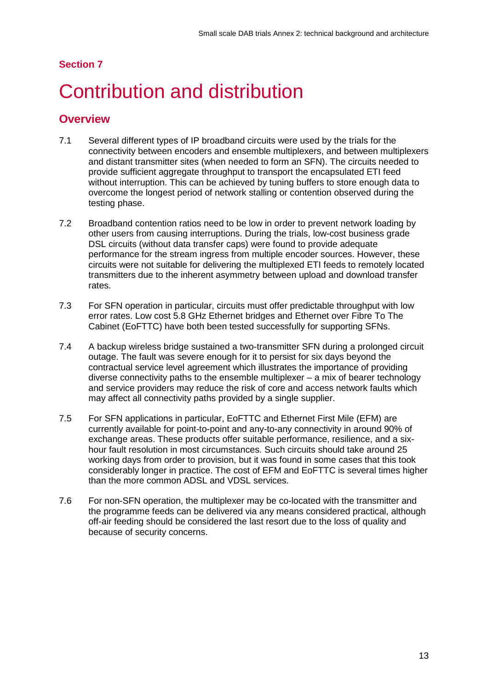# <span id="page-15-0"></span>**Contribution and distribution**

- 7.1 Several different types of IP broadband circuits were used by the trials for the connectivity between encoders and ensemble multiplexers, and between multiplexers and distant transmitter sites (when needed to form an SFN). The circuits needed to provide sufficient aggregate throughput to transport the encapsulated ETI feed without interruption. This can be achieved by tuning buffers to store enough data to overcome the longest period of network stalling or contention observed during the testing phase.
- 7.2 Broadband contention ratios need to be low in order to prevent network loading by other users from causing interruptions. During the trials, low-cost business grade DSL circuits (without data transfer caps) were found to provide adequate performance for the stream ingress from multiple encoder sources. However, these circuits were not suitable for delivering the multiplexed ETI feeds to remotely located transmitters due to the inherent asymmetry between upload and download transfer rates.
- 7.3 For SFN operation in particular, circuits must offer predictable throughput with low error rates. Low cost 5.8 GHz Ethernet bridges and Ethernet over Fibre To The Cabinet (EoFTTC) have both been tested successfully for supporting SFNs.
- 7.4 A backup wireless bridge sustained a two-transmitter SFN during a prolonged circuit outage. The fault was severe enough for it to persist for six days beyond the contractual service level agreement which illustrates the importance of providing diverse connectivity paths to the ensemble multiplexer – a mix of bearer technology and service providers may reduce the risk of core and access network faults which may affect all connectivity paths provided by a single supplier.
- 7.5 For SFN applications in particular, EoFTTC and Ethernet First Mile (EFM) are currently available for point-to-point and any-to-any connectivity in around 90% of exchange areas. These products offer suitable performance, resilience, and a sixhour fault resolution in most circumstances. Such circuits should take around 25 working days from order to provision, but it was found in some cases that this took considerably longer in practice. The cost of EFM and EoFTTC is several times higher than the more common ADSL and VDSL services.
- 7.6 For non-SFN operation, the multiplexer may be co-located with the transmitter and the programme feeds can be delivered via any means considered practical, although off-air feeding should be considered the last resort due to the loss of quality and because of security concerns.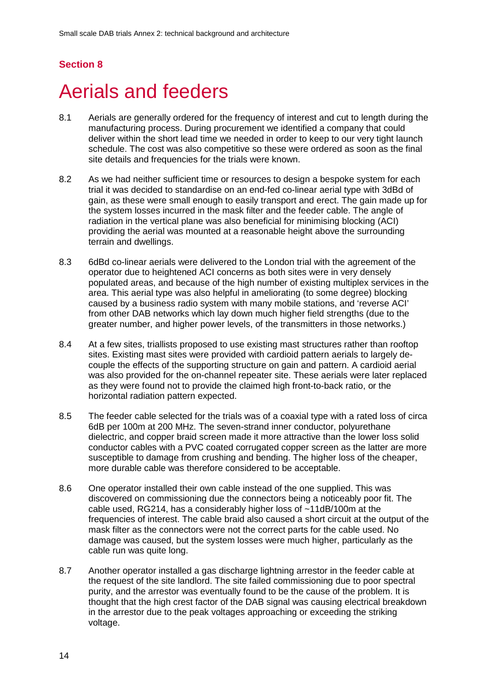## <span id="page-16-0"></span>8 Aerials and feeders

- 8.1 Aerials are generally ordered for the frequency of interest and cut to length during the manufacturing process. During procurement we identified a company that could deliver within the short lead time we needed in order to keep to our very tight launch schedule. The cost was also competitive so these were ordered as soon as the final site details and frequencies for the trials were known.
- 8.2 As we had neither sufficient time or resources to design a bespoke system for each trial it was decided to standardise on an end-fed co-linear aerial type with 3dBd of gain, as these were small enough to easily transport and erect. The gain made up for the system losses incurred in the mask filter and the feeder cable. The angle of radiation in the vertical plane was also beneficial for minimising blocking (ACI) providing the aerial was mounted at a reasonable height above the surrounding terrain and dwellings.
- 8.3 6dBd co-linear aerials were delivered to the London trial with the agreement of the operator due to heightened ACI concerns as both sites were in very densely populated areas, and because of the high number of existing multiplex services in the area. This aerial type was also helpful in ameliorating (to some degree) blocking caused by a business radio system with many mobile stations, and 'reverse ACI' from other DAB networks which lay down much higher field strengths (due to the greater number, and higher power levels, of the transmitters in those networks.)
- 8.4 At a few sites, triallists proposed to use existing mast structures rather than rooftop sites. Existing mast sites were provided with cardioid pattern aerials to largely decouple the effects of the supporting structure on gain and pattern. A cardioid aerial was also provided for the on-channel repeater site. These aerials were later replaced as they were found not to provide the claimed high front-to-back ratio, or the horizontal radiation pattern expected.
- 8.5 The feeder cable selected for the trials was of a coaxial type with a rated loss of circa 6dB per 100m at 200 MHz. The seven-strand inner conductor, polyurethane dielectric, and copper braid screen made it more attractive than the lower loss solid conductor cables with a PVC coated corrugated copper screen as the latter are more susceptible to damage from crushing and bending. The higher loss of the cheaper, more durable cable was therefore considered to be acceptable.
- 8.6 One operator installed their own cable instead of the one supplied. This was discovered on commissioning due the connectors being a noticeably poor fit. The cable used, RG214, has a considerably higher loss of ~11dB/100m at the frequencies of interest. The cable braid also caused a short circuit at the output of the mask filter as the connectors were not the correct parts for the cable used. No damage was caused, but the system losses were much higher, particularly as the cable run was quite long.
- 8.7 Another operator installed a gas discharge lightning arrestor in the feeder cable at the request of the site landlord. The site failed commissioning due to poor spectral purity, and the arrestor was eventually found to be the cause of the problem. It is thought that the high crest factor of the DAB signal was causing electrical breakdown in the arrestor due to the peak voltages approaching or exceeding the striking voltage.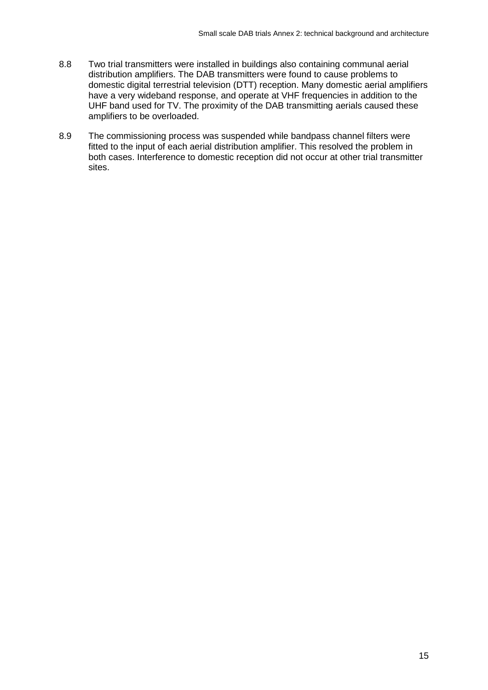- 8.8 Two trial transmitters were installed in buildings also containing communal aerial distribution amplifiers. The DAB transmitters were found to cause problems to domestic digital terrestrial television (DTT) reception. Many domestic aerial amplifiers have a very wideband response, and operate at VHF frequencies in addition to the UHF band used for TV. The proximity of the DAB transmitting aerials caused these amplifiers to be overloaded.
- 8.9 The commissioning process was suspended while bandpass channel filters were fitted to the input of each aerial distribution amplifier. This resolved the problem in both cases. Interference to domestic reception did not occur at other trial transmitter sites.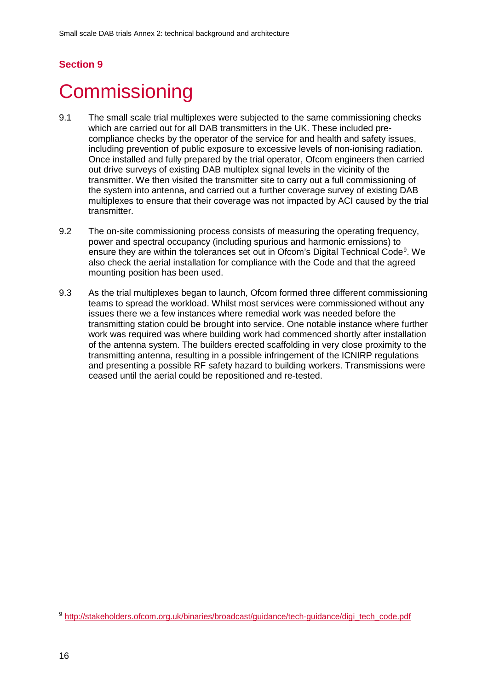## <span id="page-18-0"></span>**Commissioning**

- 9.1 The small scale trial multiplexes were subjected to the same commissioning checks which are carried out for all DAB transmitters in the UK. These included precompliance checks by the operator of the service for and health and safety issues, including prevention of public exposure to excessive levels of non-ionising radiation. Once installed and fully prepared by the trial operator, Ofcom engineers then carried out drive surveys of existing DAB multiplex signal levels in the vicinity of the transmitter. We then visited the transmitter site to carry out a full commissioning of the system into antenna, and carried out a further coverage survey of existing DAB multiplexes to ensure that their coverage was not impacted by ACI caused by the trial transmitter.
- 9.2 The on-site commissioning process consists of measuring the operating frequency, power and spectral occupancy (including spurious and harmonic emissions) to ensure they are within the tolerances set out in Ofcom's Digital Technical Code<sup>9</sup>. We also check the aerial installation for compliance with the Code and that the agreed mounting position has been used.
- 9.3 As the trial multiplexes began to launch, Ofcom formed three different commissioning teams to spread the workload. Whilst most services were commissioned without any issues there we a few instances where remedial work was needed before the transmitting station could be brought into service. One notable instance where further work was required was where building work had commenced shortly after installation of the antenna system. The builders erected scaffolding in very close proximity to the transmitting antenna, resulting in a possible infringement of the ICNIRP regulations and presenting a possible RF safety hazard to building workers. Transmissions were ceased until the aerial could be repositioned and re-tested.

<span id="page-18-1"></span><sup>9</sup> [http://stakeholders.ofcom.org.uk/binaries/broadcast/guidance/tech-guidance/digi\\_tech\\_code.pdf](http://stakeholders.ofcom.org.uk/binaries/broadcast/guidance/tech-guidance/digi_tech_code.pdf)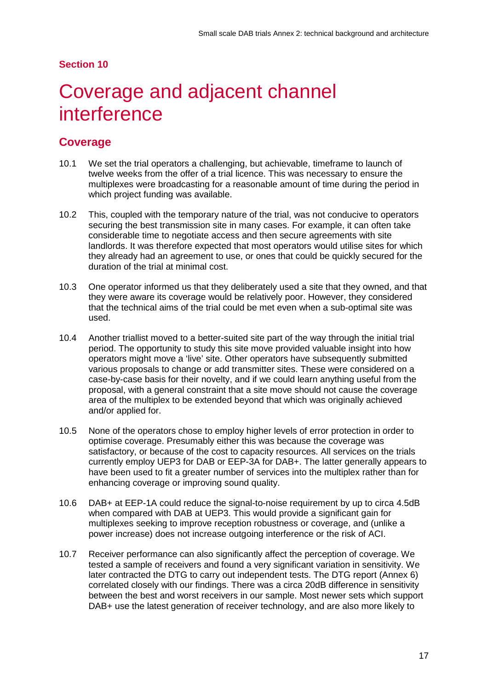## <span id="page-19-0"></span>Coverage and adjacent channel interference

## **Coverage**

- 10.1 We set the trial operators a challenging, but achievable, timeframe to launch of twelve weeks from the offer of a trial licence. This was necessary to ensure the multiplexes were broadcasting for a reasonable amount of time during the period in which project funding was available.
- 10.2 This, coupled with the temporary nature of the trial, was not conducive to operators securing the best transmission site in many cases. For example, it can often take considerable time to negotiate access and then secure agreements with site landlords. It was therefore expected that most operators would utilise sites for which they already had an agreement to use, or ones that could be quickly secured for the duration of the trial at minimal cost.
- 10.3 One operator informed us that they deliberately used a site that they owned, and that they were aware its coverage would be relatively poor. However, they considered that the technical aims of the trial could be met even when a sub-optimal site was used.
- 10.4 Another triallist moved to a better-suited site part of the way through the initial trial period. The opportunity to study this site move provided valuable insight into how operators might move a 'live' site. Other operators have subsequently submitted various proposals to change or add transmitter sites. These were considered on a case-by-case basis for their novelty, and if we could learn anything useful from the proposal, with a general constraint that a site move should not cause the coverage area of the multiplex to be extended beyond that which was originally achieved and/or applied for.
- 10.5 None of the operators chose to employ higher levels of error protection in order to optimise coverage. Presumably either this was because the coverage was satisfactory, or because of the cost to capacity resources. All services on the trials currently employ UEP3 for DAB or EEP-3A for DAB+. The latter generally appears to have been used to fit a greater number of services into the multiplex rather than for enhancing coverage or improving sound quality.
- 10.6 DAB+ at EEP-1A could reduce the signal-to-noise requirement by up to circa 4.5dB when compared with DAB at UEP3. This would provide a significant gain for multiplexes seeking to improve reception robustness or coverage, and (unlike a power increase) does not increase outgoing interference or the risk of ACI.
- 10.7 Receiver performance can also significantly affect the perception of coverage. We tested a sample of receivers and found a very significant variation in sensitivity. We later contracted the DTG to carry out independent tests. The DTG report (Annex 6) correlated closely with our findings. There was a circa 20dB difference in sensitivity between the best and worst receivers in our sample. Most newer sets which support DAB+ use the latest generation of receiver technology, and are also more likely to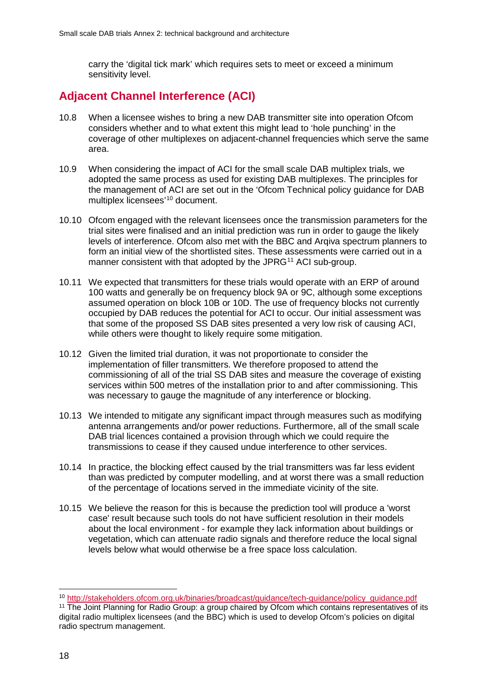carry the 'digital tick mark' which requires sets to meet or exceed a minimum sensitivity level.

## **Adjacent Channel Interference (ACI)**

- 10.8 When a licensee wishes to bring a new DAB transmitter site into operation Ofcom considers whether and to what extent this might lead to 'hole punching' in the coverage of other multiplexes on adjacent-channel frequencies which serve the same area.
- 10.9 When considering the impact of ACI for the small scale DAB multiplex trials, we adopted the same process as used for existing DAB multiplexes. The principles for the management of ACI are set out in the 'Ofcom Technical policy guidance for DAB multiplex licensees' [10](#page-20-0) document.
- 10.10 Ofcom engaged with the relevant licensees once the transmission parameters for the trial sites were finalised and an initial prediction was run in order to gauge the likely levels of interference. Ofcom also met with the BBC and Arqiva spectrum planners to form an initial view of the shortlisted sites. These assessments were carried out in a manner consistent with that adopted by the JPRG<sup>[11](#page-20-1)</sup> ACI sub-group.
- 10.11 We expected that transmitters for these trials would operate with an ERP of around 100 watts and generally be on frequency block 9A or 9C, although some exceptions assumed operation on block 10B or 10D. The use of frequency blocks not currently occupied by DAB reduces the potential for ACI to occur. Our initial assessment was that some of the proposed SS DAB sites presented a very low risk of causing ACI, while others were thought to likely require some mitigation.
- 10.12 Given the limited trial duration, it was not proportionate to consider the implementation of filler transmitters. We therefore proposed to attend the commissioning of all of the trial SS DAB sites and measure the coverage of existing services within 500 metres of the installation prior to and after commissioning. This was necessary to gauge the magnitude of any interference or blocking.
- 10.13 We intended to mitigate any significant impact through measures such as modifying antenna arrangements and/or power reductions. Furthermore, all of the small scale DAB trial licences contained a provision through which we could require the transmissions to cease if they caused undue interference to other services.
- 10.14 In practice, the blocking effect caused by the trial transmitters was far less evident than was predicted by computer modelling, and at worst there was a small reduction of the percentage of locations served in the immediate vicinity of the site.
- 10.15 We believe the reason for this is because the prediction tool will produce a 'worst case' result because such tools do not have sufficient resolution in their models about the local environment - for example they lack information about buildings or vegetation, which can attenuate radio signals and therefore reduce the local signal levels below what would otherwise be a free space loss calculation.

<span id="page-20-0"></span> <sup>10</sup> [http://stakeholders.ofcom.org.uk/binaries/broadcast/guidance/tech-guidance/policy\\_guidance.pdf](http://stakeholders.ofcom.org.uk/binaries/broadcast/guidance/tech-guidance/policy_guidance.pdf)

<span id="page-20-1"></span><sup>11</sup> The Joint Planning for Radio Group: a group chaired by Ofcom which contains representatives of its digital radio multiplex licensees (and the BBC) which is used to develop Ofcom's policies on digital radio spectrum management.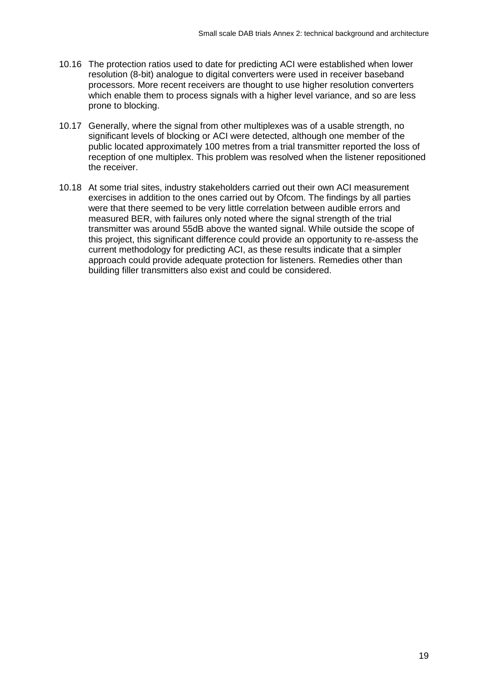- 10.16 The protection ratios used to date for predicting ACI were established when lower resolution (8-bit) analogue to digital converters were used in receiver baseband processors. More recent receivers are thought to use higher resolution converters which enable them to process signals with a higher level variance, and so are less prone to blocking.
- 10.17 Generally, where the signal from other multiplexes was of a usable strength, no significant levels of blocking or ACI were detected, although one member of the public located approximately 100 metres from a trial transmitter reported the loss of reception of one multiplex. This problem was resolved when the listener repositioned the receiver.
- 10.18 At some trial sites, industry stakeholders carried out their own ACI measurement exercises in addition to the ones carried out by Ofcom. The findings by all parties were that there seemed to be very little correlation between audible errors and measured BER, with failures only noted where the signal strength of the trial transmitter was around 55dB above the wanted signal. While outside the scope of this project, this significant difference could provide an opportunity to re-assess the current methodology for predicting ACI, as these results indicate that a simpler approach could provide adequate protection for listeners. Remedies other than building filler transmitters also exist and could be considered.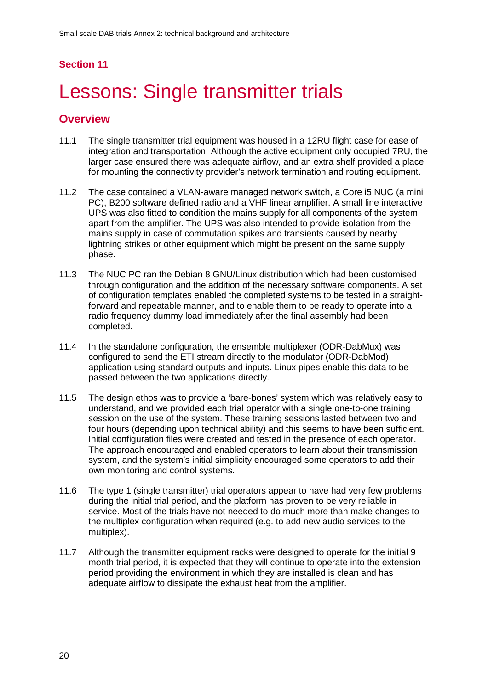# <span id="page-22-0"></span>Lessons: Single transmitter trials

- 11.1 The single transmitter trial equipment was housed in a 12RU flight case for ease of integration and transportation. Although the active equipment only occupied 7RU, the larger case ensured there was adequate airflow, and an extra shelf provided a place for mounting the connectivity provider's network termination and routing equipment.
- 11.2 The case contained a VLAN-aware managed network switch, a Core i5 NUC (a mini PC), B200 software defined radio and a VHF linear amplifier. A small line interactive UPS was also fitted to condition the mains supply for all components of the system apart from the amplifier. The UPS was also intended to provide isolation from the mains supply in case of commutation spikes and transients caused by nearby lightning strikes or other equipment which might be present on the same supply phase.
- 11.3 The NUC PC ran the Debian 8 GNU/Linux distribution which had been customised through configuration and the addition of the necessary software components. A set of configuration templates enabled the completed systems to be tested in a straightforward and repeatable manner, and to enable them to be ready to operate into a radio frequency dummy load immediately after the final assembly had been completed.
- 11.4 In the standalone configuration, the ensemble multiplexer (ODR-DabMux) was configured to send the ETI stream directly to the modulator (ODR-DabMod) application using standard outputs and inputs. Linux pipes enable this data to be passed between the two applications directly.
- 11.5 The design ethos was to provide a 'bare-bones' system which was relatively easy to understand, and we provided each trial operator with a single one-to-one training session on the use of the system. These training sessions lasted between two and four hours (depending upon technical ability) and this seems to have been sufficient. Initial configuration files were created and tested in the presence of each operator. The approach encouraged and enabled operators to learn about their transmission system, and the system's initial simplicity encouraged some operators to add their own monitoring and control systems.
- 11.6 The type 1 (single transmitter) trial operators appear to have had very few problems during the initial trial period, and the platform has proven to be very reliable in service. Most of the trials have not needed to do much more than make changes to the multiplex configuration when required (e.g. to add new audio services to the multiplex).
- 11.7 Although the transmitter equipment racks were designed to operate for the initial 9 month trial period, it is expected that they will continue to operate into the extension period providing the environment in which they are installed is clean and has adequate airflow to dissipate the exhaust heat from the amplifier.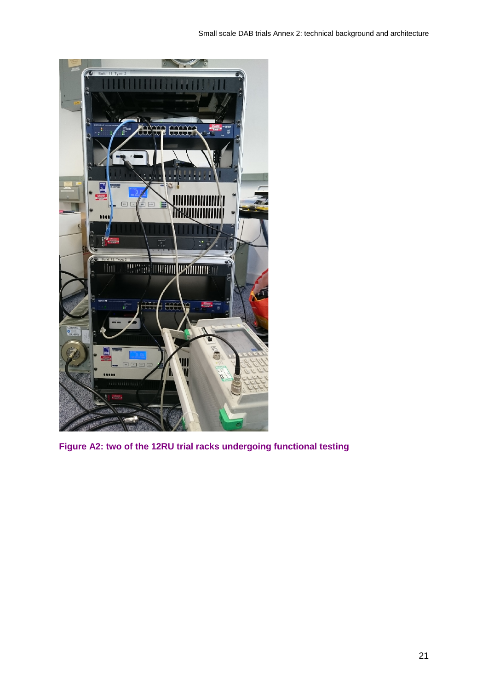

**Figure A2: two of the 12RU trial racks undergoing functional testing**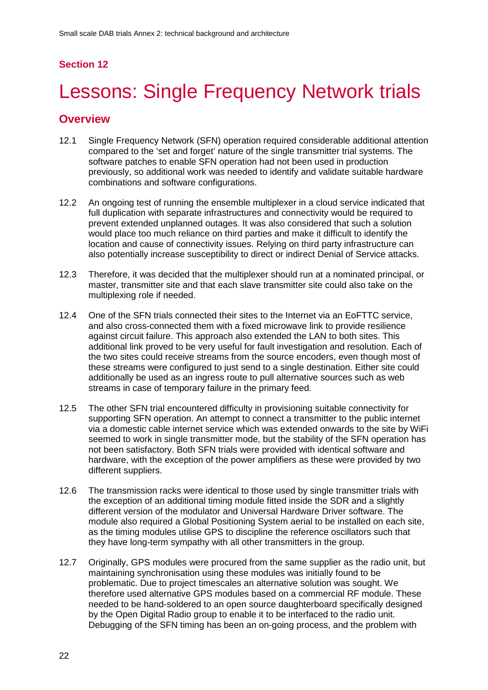# <span id="page-24-0"></span>Lessons: Single Frequency Network trials

- 12.1 Single Frequency Network (SFN) operation required considerable additional attention compared to the 'set and forget' nature of the single transmitter trial systems. The software patches to enable SFN operation had not been used in production previously, so additional work was needed to identify and validate suitable hardware combinations and software configurations.
- 12.2 An ongoing test of running the ensemble multiplexer in a cloud service indicated that full duplication with separate infrastructures and connectivity would be required to prevent extended unplanned outages. It was also considered that such a solution would place too much reliance on third parties and make it difficult to identify the location and cause of connectivity issues. Relying on third party infrastructure can also potentially increase susceptibility to direct or indirect Denial of Service attacks.
- 12.3 Therefore, it was decided that the multiplexer should run at a nominated principal, or master, transmitter site and that each slave transmitter site could also take on the multiplexing role if needed.
- 12.4 One of the SFN trials connected their sites to the Internet via an EoFTTC service, and also cross-connected them with a fixed microwave link to provide resilience against circuit failure. This approach also extended the LAN to both sites. This additional link proved to be very useful for fault investigation and resolution. Each of the two sites could receive streams from the source encoders, even though most of these streams were configured to just send to a single destination. Either site could additionally be used as an ingress route to pull alternative sources such as web streams in case of temporary failure in the primary feed.
- 12.5 The other SFN trial encountered difficulty in provisioning suitable connectivity for supporting SFN operation. An attempt to connect a transmitter to the public internet via a domestic cable internet service which was extended onwards to the site by WiFi seemed to work in single transmitter mode, but the stability of the SFN operation has not been satisfactory. Both SFN trials were provided with identical software and hardware, with the exception of the power amplifiers as these were provided by two different suppliers.
- 12.6 The transmission racks were identical to those used by single transmitter trials with the exception of an additional timing module fitted inside the SDR and a slightly different version of the modulator and Universal Hardware Driver software. The module also required a Global Positioning System aerial to be installed on each site, as the timing modules utilise GPS to discipline the reference oscillators such that they have long-term sympathy with all other transmitters in the group.
- 12.7 Originally, GPS modules were procured from the same supplier as the radio unit, but maintaining synchronisation using these modules was initially found to be problematic. Due to project timescales an alternative solution was sought. We therefore used alternative GPS modules based on a commercial RF module. These needed to be hand-soldered to an open source daughterboard specifically designed by the Open Digital Radio group to enable it to be interfaced to the radio unit. Debugging of the SFN timing has been an on-going process, and the problem with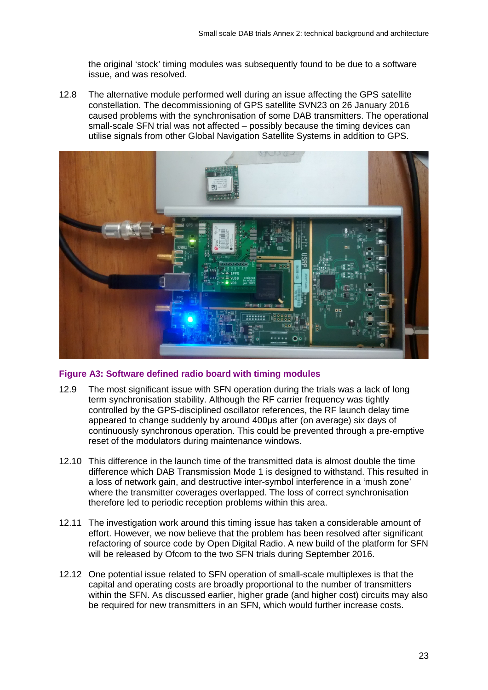the original 'stock' timing modules was subsequently found to be due to a software issue, and was resolved.

12.8 The alternative module performed well during an issue affecting the GPS satellite constellation. The decommissioning of GPS satellite SVN23 on 26 January 2016 caused problems with the synchronisation of some DAB transmitters. The operational small-scale SFN trial was not affected – possibly because the timing devices can utilise signals from other Global Navigation Satellite Systems in addition to GPS.



#### **Figure A3: Software defined radio board with timing modules**

- 12.9 The most significant issue with SFN operation during the trials was a lack of long term synchronisation stability. Although the RF carrier frequency was tightly controlled by the GPS-disciplined oscillator references, the RF launch delay time appeared to change suddenly by around 400μs after (on average) six days of continuously synchronous operation. This could be prevented through a pre-emptive reset of the modulators during maintenance windows.
- 12.10 This difference in the launch time of the transmitted data is almost double the time difference which DAB Transmission Mode 1 is designed to withstand. This resulted in a loss of network gain, and destructive inter-symbol interference in a 'mush zone' where the transmitter coverages overlapped. The loss of correct synchronisation therefore led to periodic reception problems within this area.
- 12.11 The investigation work around this timing issue has taken a considerable amount of effort. However, we now believe that the problem has been resolved after significant refactoring of source code by Open Digital Radio. A new build of the platform for SFN will be released by Ofcom to the two SFN trials during September 2016.
- 12.12 One potential issue related to SFN operation of small-scale multiplexes is that the capital and operating costs are broadly proportional to the number of transmitters within the SFN. As discussed earlier, higher grade (and higher cost) circuits may also be required for new transmitters in an SFN, which would further increase costs.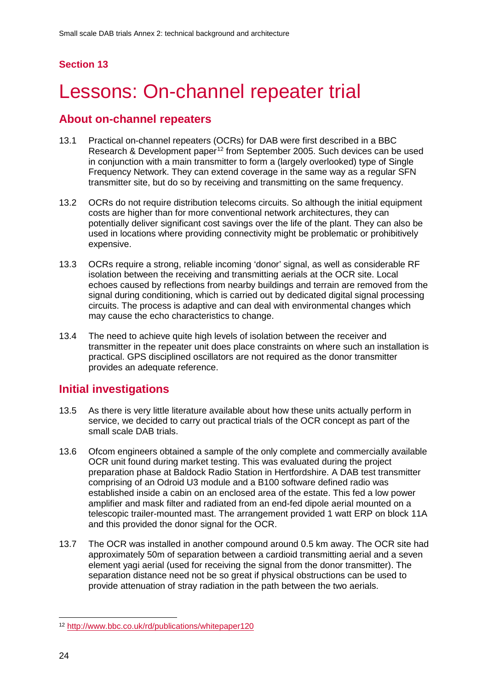# <span id="page-26-0"></span>Lessons: On-channel repeater trial

## **About on-channel repeaters**

- 13.1 Practical on-channel repeaters (OCRs) for DAB were first described in a BBC Research & Development paper<sup>[12](#page-26-1)</sup> from September 2005. Such devices can be used in conjunction with a main transmitter to form a (largely overlooked) type of Single Frequency Network. They can extend coverage in the same way as a regular SFN transmitter site, but do so by receiving and transmitting on the same frequency.
- 13.2 OCRs do not require distribution telecoms circuits. So although the initial equipment costs are higher than for more conventional network architectures, they can potentially deliver significant cost savings over the life of the plant. They can also be used in locations where providing connectivity might be problematic or prohibitively expensive.
- 13.3 OCRs require a strong, reliable incoming 'donor' signal, as well as considerable RF isolation between the receiving and transmitting aerials at the OCR site. Local echoes caused by reflections from nearby buildings and terrain are removed from the signal during conditioning, which is carried out by dedicated digital signal processing circuits. The process is adaptive and can deal with environmental changes which may cause the echo characteristics to change.
- 13.4 The need to achieve quite high levels of isolation between the receiver and transmitter in the repeater unit does place constraints on where such an installation is practical. GPS disciplined oscillators are not required as the donor transmitter provides an adequate reference.

## **Initial investigations**

- 13.5 As there is very little literature available about how these units actually perform in service, we decided to carry out practical trials of the OCR concept as part of the small scale DAB trials.
- 13.6 Ofcom engineers obtained a sample of the only complete and commercially available OCR unit found during market testing. This was evaluated during the project preparation phase at Baldock Radio Station in Hertfordshire. A DAB test transmitter comprising of an Odroid U3 module and a B100 software defined radio was established inside a cabin on an enclosed area of the estate. This fed a low power amplifier and mask filter and radiated from an end-fed dipole aerial mounted on a telescopic trailer-mounted mast. The arrangement provided 1 watt ERP on block 11A and this provided the donor signal for the OCR.
- 13.7 The OCR was installed in another compound around 0.5 km away. The OCR site had approximately 50m of separation between a cardioid transmitting aerial and a seven element yagi aerial (used for receiving the signal from the donor transmitter). The separation distance need not be so great if physical obstructions can be used to provide attenuation of stray radiation in the path between the two aerials.

<span id="page-26-1"></span> <sup>12</sup> <http://www.bbc.co.uk/rd/publications/whitepaper120>